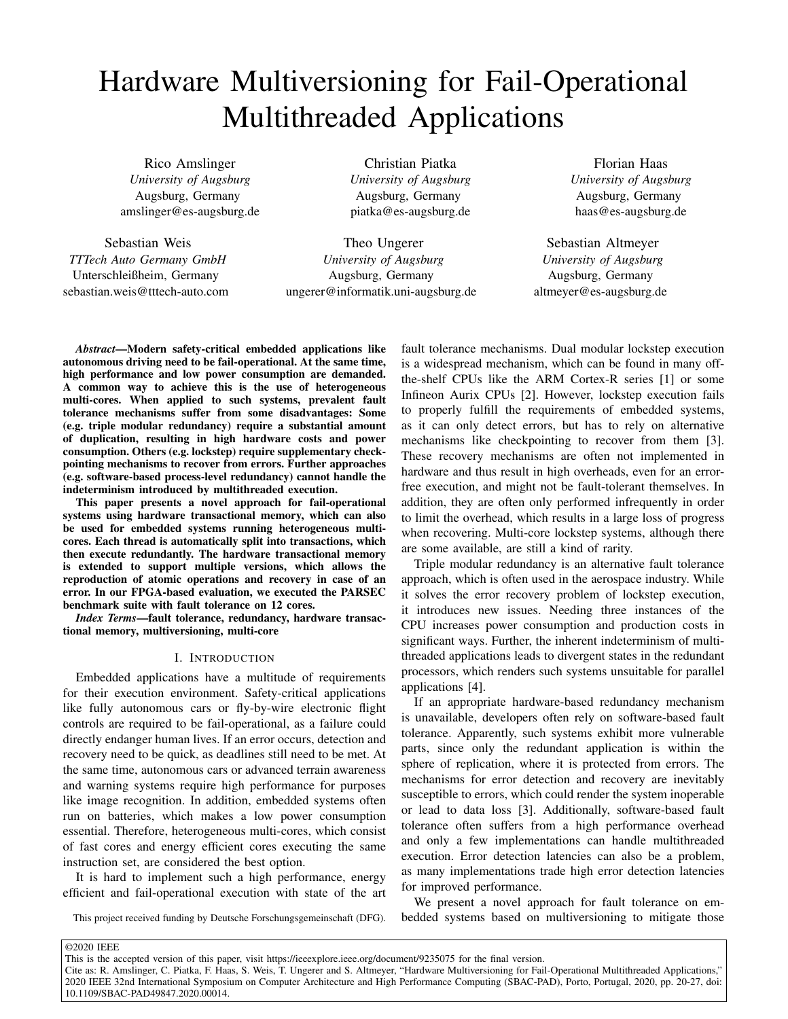# Hardware Multiversioning for Fail-Operational Multithreaded Applications

Rico Amslinger *University of Augsburg* Augsburg, Germany amslinger@es-augsburg.de

Sebastian Weis *TTTech Auto Germany GmbH* Unterschleißheim, Germany sebastian.weis@tttech-auto.com

Christian Piatka *University of Augsburg* Augsburg, Germany piatka@es-augsburg.de

Theo Ungerer *University of Augsburg* Augsburg, Germany ungerer@informatik.uni-augsburg.de

Florian Haas *University of Augsburg* Augsburg, Germany haas@es-augsburg.de

Sebastian Altmeyer *University of Augsburg* Augsburg, Germany altmeyer@es-augsburg.de

*Abstract*—Modern safety-critical embedded applications like autonomous driving need to be fail-operational. At the same time, high performance and low power consumption are demanded. A common way to achieve this is the use of heterogeneous multi-cores. When applied to such systems, prevalent fault tolerance mechanisms suffer from some disadvantages: Some (e.g. triple modular redundancy) require a substantial amount of duplication, resulting in high hardware costs and power consumption. Others (e.g. lockstep) require supplementary checkpointing mechanisms to recover from errors. Further approaches (e.g. software-based process-level redundancy) cannot handle the indeterminism introduced by multithreaded execution.

This paper presents a novel approach for fail-operational systems using hardware transactional memory, which can also be used for embedded systems running heterogeneous multicores. Each thread is automatically split into transactions, which then execute redundantly. The hardware transactional memory is extended to support multiple versions, which allows the reproduction of atomic operations and recovery in case of an error. In our FPGA-based evaluation, we executed the PARSEC benchmark suite with fault tolerance on 12 cores.

*Index Terms*—fault tolerance, redundancy, hardware transactional memory, multiversioning, multi-core

## I. INTRODUCTION

Embedded applications have a multitude of requirements for their execution environment. Safety-critical applications like fully autonomous cars or fly-by-wire electronic flight controls are required to be fail-operational, as a failure could directly endanger human lives. If an error occurs, detection and recovery need to be quick, as deadlines still need to be met. At the same time, autonomous cars or advanced terrain awareness and warning systems require high performance for purposes like image recognition. In addition, embedded systems often run on batteries, which makes a low power consumption essential. Therefore, heterogeneous multi-cores, which consist of fast cores and energy efficient cores executing the same instruction set, are considered the best option.

It is hard to implement such a high performance, energy efficient and fail-operational execution with state of the art

This project received funding by Deutsche Forschungsgemeinschaft (DFG).

fault tolerance mechanisms. Dual modular lockstep execution is a widespread mechanism, which can be found in many offthe-shelf CPUs like the ARM Cortex-R series [\[1\]](#page-7-0) or some Infineon Aurix CPUs [\[2\]](#page-7-1). However, lockstep execution fails to properly fulfill the requirements of embedded systems, as it can only detect errors, but has to rely on alternative mechanisms like checkpointing to recover from them [\[3\]](#page-7-2). These recovery mechanisms are often not implemented in hardware and thus result in high overheads, even for an errorfree execution, and might not be fault-tolerant themselves. In addition, they are often only performed infrequently in order to limit the overhead, which results in a large loss of progress when recovering. Multi-core lockstep systems, although there are some available, are still a kind of rarity.

Triple modular redundancy is an alternative fault tolerance approach, which is often used in the aerospace industry. While it solves the error recovery problem of lockstep execution, it introduces new issues. Needing three instances of the CPU increases power consumption and production costs in significant ways. Further, the inherent indeterminism of multithreaded applications leads to divergent states in the redundant processors, which renders such systems unsuitable for parallel applications [\[4\]](#page-7-3).

If an appropriate hardware-based redundancy mechanism is unavailable, developers often rely on software-based fault tolerance. Apparently, such systems exhibit more vulnerable parts, since only the redundant application is within the sphere of replication, where it is protected from errors. The mechanisms for error detection and recovery are inevitably susceptible to errors, which could render the system inoperable or lead to data loss [\[3\]](#page-7-2). Additionally, software-based fault tolerance often suffers from a high performance overhead and only a few implementations can handle multithreaded execution. Error detection latencies can also be a problem, as many implementations trade high error detection latencies for improved performance.

We present a novel approach for fault tolerance on embedded systems based on multiversioning to mitigate those

Cite as: R. Amslinger, C. Piatka, F. Haas, S. Weis, T. Ungerer and S. Altmeyer, "Hardware Multiversioning for Fail-Operational Multithreaded Applications," 2020 IEEE 32nd International Symposium on Computer Architecture and High Performance Computing (SBAC-PAD), Porto, Portugal, 2020, pp. 20-27, doi: [10.1109/SBAC-PAD49847.2020.00014.](https://doi.org/10.1109/SBAC-PAD49847.2020.00014)

This is the accepted version of this paper, visit<https://ieeexplore.ieee.org/document/9235075> for the final version.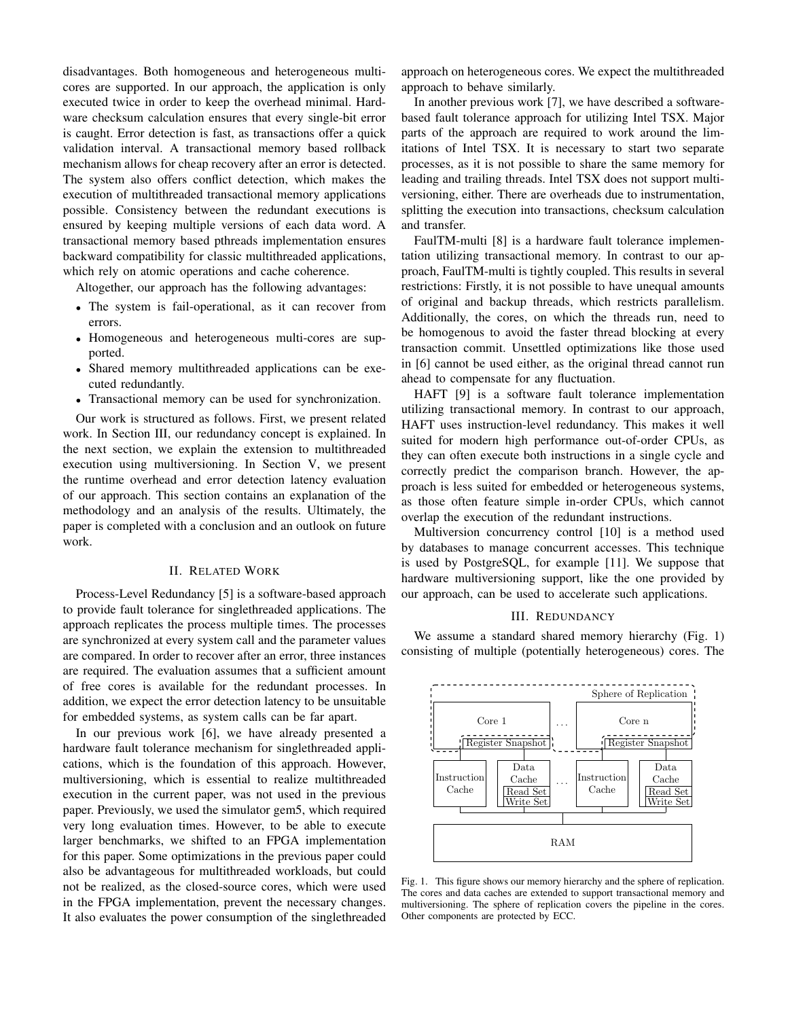disadvantages. Both homogeneous and heterogeneous multicores are supported. In our approach, the application is only executed twice in order to keep the overhead minimal. Hardware checksum calculation ensures that every single-bit error is caught. Error detection is fast, as transactions offer a quick validation interval. A transactional memory based rollback mechanism allows for cheap recovery after an error is detected. The system also offers conflict detection, which makes the execution of multithreaded transactional memory applications possible. Consistency between the redundant executions is ensured by keeping multiple versions of each data word. A transactional memory based pthreads implementation ensures backward compatibility for classic multithreaded applications, which rely on atomic operations and cache coherence.

Altogether, our approach has the following advantages:

- The system is fail-operational, as it can recover from errors.
- Homogeneous and heterogeneous multi-cores are supported.
- Shared memory multithreaded applications can be executed redundantly.
- Transactional memory can be used for synchronization.

Our work is structured as follows. First, we present related work. In Section [III,](#page-1-0) our redundancy concept is explained. In the next section, we explain the extension to multithreaded execution using multiversioning. In Section [V,](#page-4-0) we present the runtime overhead and error detection latency evaluation of our approach. This section contains an explanation of the methodology and an analysis of the results. Ultimately, the paper is completed with a conclusion and an outlook on future work.

# II. RELATED WORK

Process-Level Redundancy [\[5\]](#page-7-4) is a software-based approach to provide fault tolerance for singlethreaded applications. The approach replicates the process multiple times. The processes are synchronized at every system call and the parameter values are compared. In order to recover after an error, three instances are required. The evaluation assumes that a sufficient amount of free cores is available for the redundant processes. In addition, we expect the error detection latency to be unsuitable for embedded systems, as system calls can be far apart.

In our previous work [\[6\]](#page-7-5), we have already presented a hardware fault tolerance mechanism for singlethreaded applications, which is the foundation of this approach. However, multiversioning, which is essential to realize multithreaded execution in the current paper, was not used in the previous paper. Previously, we used the simulator gem5, which required very long evaluation times. However, to be able to execute larger benchmarks, we shifted to an FPGA implementation for this paper. Some optimizations in the previous paper could also be advantageous for multithreaded workloads, but could not be realized, as the closed-source cores, which were used in the FPGA implementation, prevent the necessary changes. It also evaluates the power consumption of the singlethreaded

approach on heterogeneous cores. We expect the multithreaded approach to behave similarly.

In another previous work [\[7\]](#page-7-6), we have described a softwarebased fault tolerance approach for utilizing Intel TSX. Major parts of the approach are required to work around the limitations of Intel TSX. It is necessary to start two separate processes, as it is not possible to share the same memory for leading and trailing threads. Intel TSX does not support multiversioning, either. There are overheads due to instrumentation, splitting the execution into transactions, checksum calculation and transfer.

FaulTM-multi [\[8\]](#page-7-7) is a hardware fault tolerance implementation utilizing transactional memory. In contrast to our approach, FaulTM-multi is tightly coupled. This results in several restrictions: Firstly, it is not possible to have unequal amounts of original and backup threads, which restricts parallelism. Additionally, the cores, on which the threads run, need to be homogenous to avoid the faster thread blocking at every transaction commit. Unsettled optimizations like those used in [\[6\]](#page-7-5) cannot be used either, as the original thread cannot run ahead to compensate for any fluctuation.

HAFT [\[9\]](#page-7-8) is a software fault tolerance implementation utilizing transactional memory. In contrast to our approach, HAFT uses instruction-level redundancy. This makes it well suited for modern high performance out-of-order CPUs, as they can often execute both instructions in a single cycle and correctly predict the comparison branch. However, the approach is less suited for embedded or heterogeneous systems, as those often feature simple in-order CPUs, which cannot overlap the execution of the redundant instructions.

Multiversion concurrency control [\[10\]](#page-7-9) is a method used by databases to manage concurrent accesses. This technique is used by PostgreSQL, for example [\[11\]](#page-7-10). We suppose that hardware multiversioning support, like the one provided by our approach, can be used to accelerate such applications.

# III. REDUNDANCY

<span id="page-1-0"></span>We assume a standard shared memory hierarchy (Fig. [1\)](#page-1-1) consisting of multiple (potentially heterogeneous) cores. The



<span id="page-1-1"></span>Fig. 1. This figure shows our memory hierarchy and the sphere of replication. The cores and data caches are extended to support transactional memory and multiversioning. The sphere of replication covers the pipeline in the cores. Other components are protected by ECC.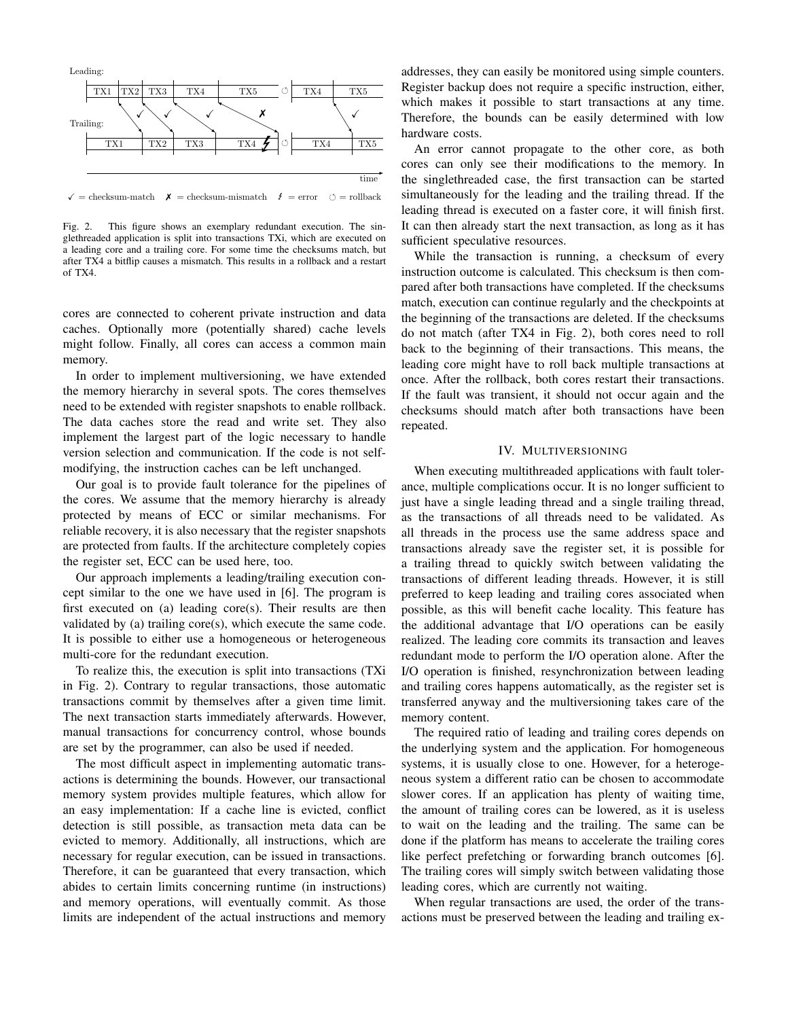

 $\checkmark$  = checksum-match  $\checkmark$  = checksum-mismatch  $\checkmark$  = error  $\circ$  = rollback

<span id="page-2-0"></span>Fig. 2. This figure shows an exemplary redundant execution. The singlethreaded application is split into transactions TXi, which are executed on a leading core and a trailing core. For some time the checksums match, but after TX4 a bitflip causes a mismatch. This results in a rollback and a restart of TX4.

cores are connected to coherent private instruction and data caches. Optionally more (potentially shared) cache levels might follow. Finally, all cores can access a common main memory.

In order to implement multiversioning, we have extended the memory hierarchy in several spots. The cores themselves need to be extended with register snapshots to enable rollback. The data caches store the read and write set. They also implement the largest part of the logic necessary to handle version selection and communication. If the code is not selfmodifying, the instruction caches can be left unchanged.

Our goal is to provide fault tolerance for the pipelines of the cores. We assume that the memory hierarchy is already protected by means of ECC or similar mechanisms. For reliable recovery, it is also necessary that the register snapshots are protected from faults. If the architecture completely copies the register set, ECC can be used here, too.

Our approach implements a leading/trailing execution concept similar to the one we have used in [\[6\]](#page-7-5). The program is first executed on (a) leading core(s). Their results are then validated by (a) trailing core(s), which execute the same code. It is possible to either use a homogeneous or heterogeneous multi-core for the redundant execution.

To realize this, the execution is split into transactions (TXi in Fig. [2\)](#page-2-0). Contrary to regular transactions, those automatic transactions commit by themselves after a given time limit. The next transaction starts immediately afterwards. However, manual transactions for concurrency control, whose bounds are set by the programmer, can also be used if needed.

The most difficult aspect in implementing automatic transactions is determining the bounds. However, our transactional memory system provides multiple features, which allow for an easy implementation: If a cache line is evicted, conflict detection is still possible, as transaction meta data can be evicted to memory. Additionally, all instructions, which are necessary for regular execution, can be issued in transactions. Therefore, it can be guaranteed that every transaction, which abides to certain limits concerning runtime (in instructions) and memory operations, will eventually commit. As those limits are independent of the actual instructions and memory

addresses, they can easily be monitored using simple counters. Register backup does not require a specific instruction, either, which makes it possible to start transactions at any time. Therefore, the bounds can be easily determined with low hardware costs.

An error cannot propagate to the other core, as both cores can only see their modifications to the memory. In the singlethreaded case, the first transaction can be started simultaneously for the leading and the trailing thread. If the leading thread is executed on a faster core, it will finish first. It can then already start the next transaction, as long as it has sufficient speculative resources.

While the transaction is running, a checksum of every instruction outcome is calculated. This checksum is then compared after both transactions have completed. If the checksums match, execution can continue regularly and the checkpoints at the beginning of the transactions are deleted. If the checksums do not match (after TX4 in Fig. [2\)](#page-2-0), both cores need to roll back to the beginning of their transactions. This means, the leading core might have to roll back multiple transactions at once. After the rollback, both cores restart their transactions. If the fault was transient, it should not occur again and the checksums should match after both transactions have been repeated.

#### IV. MULTIVERSIONING

When executing multithreaded applications with fault tolerance, multiple complications occur. It is no longer sufficient to just have a single leading thread and a single trailing thread, as the transactions of all threads need to be validated. As all threads in the process use the same address space and transactions already save the register set, it is possible for a trailing thread to quickly switch between validating the transactions of different leading threads. However, it is still preferred to keep leading and trailing cores associated when possible, as this will benefit cache locality. This feature has the additional advantage that I/O operations can be easily realized. The leading core commits its transaction and leaves redundant mode to perform the I/O operation alone. After the I/O operation is finished, resynchronization between leading and trailing cores happens automatically, as the register set is transferred anyway and the multiversioning takes care of the memory content.

The required ratio of leading and trailing cores depends on the underlying system and the application. For homogeneous systems, it is usually close to one. However, for a heterogeneous system a different ratio can be chosen to accommodate slower cores. If an application has plenty of waiting time, the amount of trailing cores can be lowered, as it is useless to wait on the leading and the trailing. The same can be done if the platform has means to accelerate the trailing cores like perfect prefetching or forwarding branch outcomes [\[6\]](#page-7-5). The trailing cores will simply switch between validating those leading cores, which are currently not waiting.

When regular transactions are used, the order of the transactions must be preserved between the leading and trailing ex-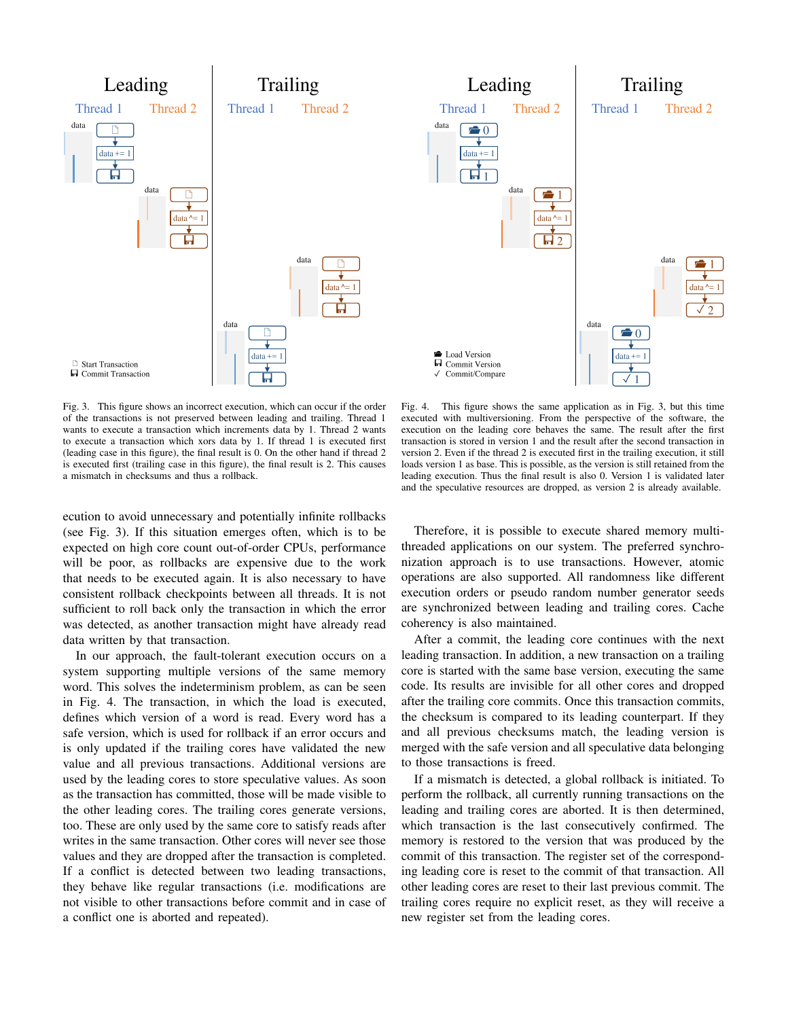

<span id="page-3-0"></span>Fig. 3. This figure shows an incorrect execution, which can occur if the order of the transactions is not preserved between leading and trailing. Thread 1 wants to execute a transaction which increments data by 1. Thread 2 wants to execute a transaction which xors data by 1. If thread 1 is executed first (leading case in this figure), the final result is 0. On the other hand if thread 2 is executed first (trailing case in this figure), the final result is 2. This causes a mismatch in checksums and thus a rollback.

ecution to avoid unnecessary and potentially infinite rollbacks (see Fig. [3\)](#page-3-0). If this situation emerges often, which is to be expected on high core count out-of-order CPUs, performance will be poor, as rollbacks are expensive due to the work that needs to be executed again. It is also necessary to have consistent rollback checkpoints between all threads. It is not sufficient to roll back only the transaction in which the error was detected, as another transaction might have already read data written by that transaction.

In our approach, the fault-tolerant execution occurs on a system supporting multiple versions of the same memory word. This solves the indeterminism problem, as can be seen in Fig. [4.](#page-3-1) The transaction, in which the load is executed, defines which version of a word is read. Every word has a safe version, which is used for rollback if an error occurs and is only updated if the trailing cores have validated the new value and all previous transactions. Additional versions are used by the leading cores to store speculative values. As soon as the transaction has committed, those will be made visible to the other leading cores. The trailing cores generate versions, too. These are only used by the same core to satisfy reads after writes in the same transaction. Other cores will never see those values and they are dropped after the transaction is completed. If a conflict is detected between two leading transactions, they behave like regular transactions (i.e. modifications are not visible to other transactions before commit and in case of a conflict one is aborted and repeated).

<span id="page-3-1"></span>Fig. 4. This figure shows the same application as in Fig. [3,](#page-3-0) but this time executed with multiversioning. From the perspective of the software, the execution on the leading core behaves the same. The result after the first transaction is stored in version 1 and the result after the second transaction in version 2. Even if the thread 2 is executed first in the trailing execution, it still loads version 1 as base. This is possible, as the version is still retained from the leading execution. Thus the final result is also 0. Version 1 is validated later and the speculative resources are dropped, as version 2 is already available.

Therefore, it is possible to execute shared memory multithreaded applications on our system. The preferred synchronization approach is to use transactions. However, atomic operations are also supported. All randomness like different execution orders or pseudo random number generator seeds are synchronized between leading and trailing cores. Cache coherency is also maintained.

After a commit, the leading core continues with the next leading transaction. In addition, a new transaction on a trailing core is started with the same base version, executing the same code. Its results are invisible for all other cores and dropped after the trailing core commits. Once this transaction commits, the checksum is compared to its leading counterpart. If they and all previous checksums match, the leading version is merged with the safe version and all speculative data belonging to those transactions is freed.

If a mismatch is detected, a global rollback is initiated. To perform the rollback, all currently running transactions on the leading and trailing cores are aborted. It is then determined, which transaction is the last consecutively confirmed. The memory is restored to the version that was produced by the commit of this transaction. The register set of the corresponding leading core is reset to the commit of that transaction. All other leading cores are reset to their last previous commit. The trailing cores require no explicit reset, as they will receive a new register set from the leading cores.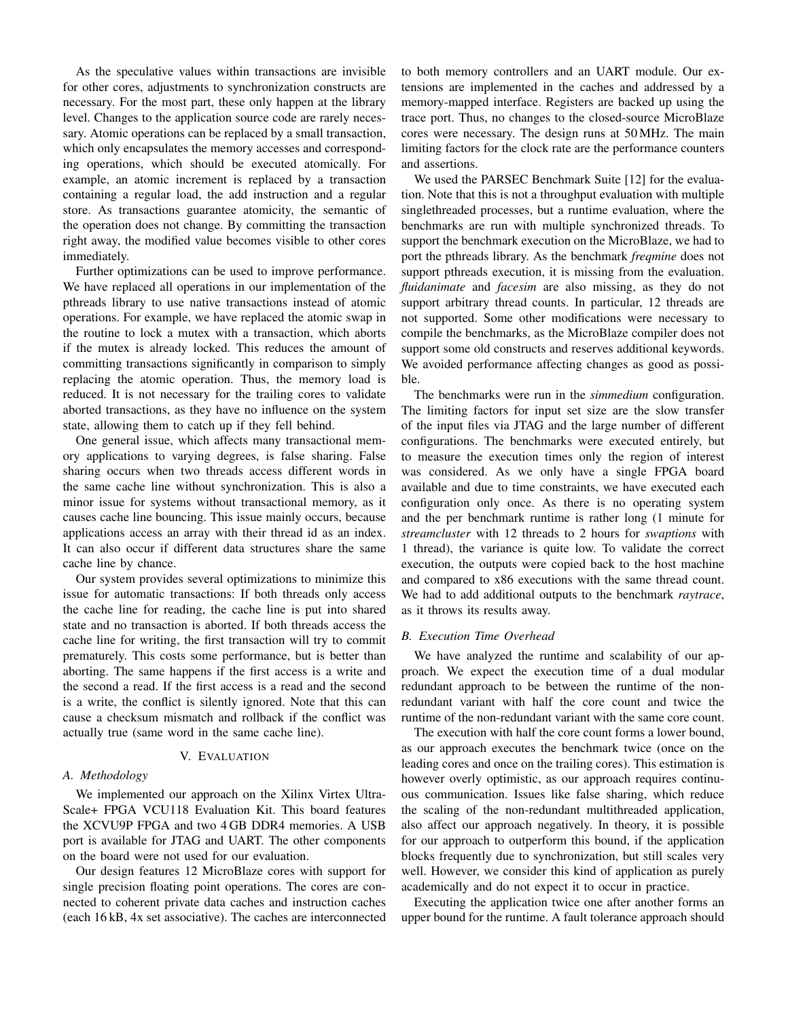As the speculative values within transactions are invisible for other cores, adjustments to synchronization constructs are necessary. For the most part, these only happen at the library level. Changes to the application source code are rarely necessary. Atomic operations can be replaced by a small transaction, which only encapsulates the memory accesses and corresponding operations, which should be executed atomically. For example, an atomic increment is replaced by a transaction containing a regular load, the add instruction and a regular store. As transactions guarantee atomicity, the semantic of the operation does not change. By committing the transaction right away, the modified value becomes visible to other cores immediately.

Further optimizations can be used to improve performance. We have replaced all operations in our implementation of the pthreads library to use native transactions instead of atomic operations. For example, we have replaced the atomic swap in the routine to lock a mutex with a transaction, which aborts if the mutex is already locked. This reduces the amount of committing transactions significantly in comparison to simply replacing the atomic operation. Thus, the memory load is reduced. It is not necessary for the trailing cores to validate aborted transactions, as they have no influence on the system state, allowing them to catch up if they fell behind.

One general issue, which affects many transactional memory applications to varying degrees, is false sharing. False sharing occurs when two threads access different words in the same cache line without synchronization. This is also a minor issue for systems without transactional memory, as it causes cache line bouncing. This issue mainly occurs, because applications access an array with their thread id as an index. It can also occur if different data structures share the same cache line by chance.

Our system provides several optimizations to minimize this issue for automatic transactions: If both threads only access the cache line for reading, the cache line is put into shared state and no transaction is aborted. If both threads access the cache line for writing, the first transaction will try to commit prematurely. This costs some performance, but is better than aborting. The same happens if the first access is a write and the second a read. If the first access is a read and the second is a write, the conflict is silently ignored. Note that this can cause a checksum mismatch and rollback if the conflict was actually true (same word in the same cache line).

#### V. EVALUATION

#### <span id="page-4-0"></span>*A. Methodology*

We implemented our approach on the Xilinx Virtex Ultra-Scale+ FPGA VCU118 Evaluation Kit. This board features the XCVU9P FPGA and two 4 GB DDR4 memories. A USB port is available for JTAG and UART. The other components on the board were not used for our evaluation.

Our design features 12 MicroBlaze cores with support for single precision floating point operations. The cores are connected to coherent private data caches and instruction caches (each 16 kB, 4x set associative). The caches are interconnected to both memory controllers and an UART module. Our extensions are implemented in the caches and addressed by a memory-mapped interface. Registers are backed up using the trace port. Thus, no changes to the closed-source MicroBlaze cores were necessary. The design runs at 50 MHz. The main limiting factors for the clock rate are the performance counters and assertions.

We used the PARSEC Benchmark Suite [\[12\]](#page-7-11) for the evaluation. Note that this is not a throughput evaluation with multiple singlethreaded processes, but a runtime evaluation, where the benchmarks are run with multiple synchronized threads. To support the benchmark execution on the MicroBlaze, we had to port the pthreads library. As the benchmark *freqmine* does not support pthreads execution, it is missing from the evaluation. *fluidanimate* and *facesim* are also missing, as they do not support arbitrary thread counts. In particular, 12 threads are not supported. Some other modifications were necessary to compile the benchmarks, as the MicroBlaze compiler does not support some old constructs and reserves additional keywords. We avoided performance affecting changes as good as possible.

The benchmarks were run in the *simmedium* configuration. The limiting factors for input set size are the slow transfer of the input files via JTAG and the large number of different configurations. The benchmarks were executed entirely, but to measure the execution times only the region of interest was considered. As we only have a single FPGA board available and due to time constraints, we have executed each configuration only once. As there is no operating system and the per benchmark runtime is rather long (1 minute for *streamcluster* with 12 threads to 2 hours for *swaptions* with 1 thread), the variance is quite low. To validate the correct execution, the outputs were copied back to the host machine and compared to x86 executions with the same thread count. We had to add additional outputs to the benchmark *raytrace*, as it throws its results away.

# *B. Execution Time Overhead*

We have analyzed the runtime and scalability of our approach. We expect the execution time of a dual modular redundant approach to be between the runtime of the nonredundant variant with half the core count and twice the runtime of the non-redundant variant with the same core count.

The execution with half the core count forms a lower bound, as our approach executes the benchmark twice (once on the leading cores and once on the trailing cores). This estimation is however overly optimistic, as our approach requires continuous communication. Issues like false sharing, which reduce the scaling of the non-redundant multithreaded application, also affect our approach negatively. In theory, it is possible for our approach to outperform this bound, if the application blocks frequently due to synchronization, but still scales very well. However, we consider this kind of application as purely academically and do not expect it to occur in practice.

Executing the application twice one after another forms an upper bound for the runtime. A fault tolerance approach should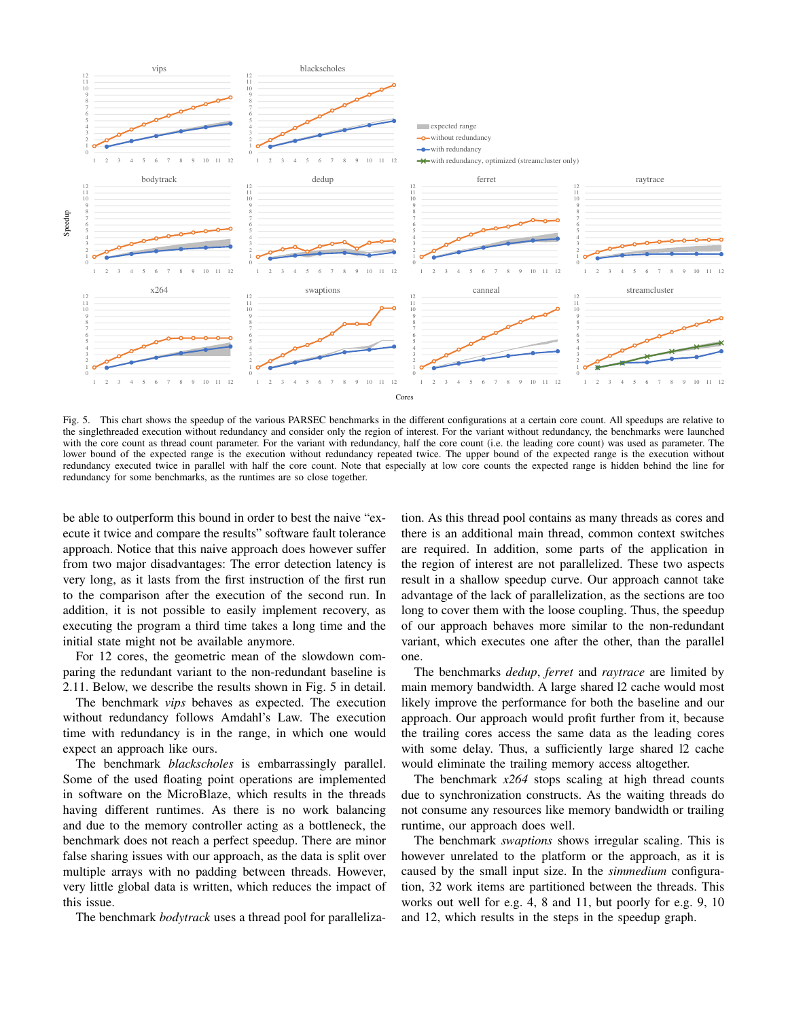

<span id="page-5-0"></span>Fig. 5. This chart shows the speedup of the various PARSEC benchmarks in the different configurations at a certain core count. All speedups are relative to the singlethreaded execution without redundancy and consider only the region of interest. For the variant without redundancy, the benchmarks were launched with the core count as thread count parameter. For the variant with redundancy, half the core count (i.e. the leading core count) was used as parameter. The lower bound of the expected range is the execution without redundancy repeated twice. The upper bound of the expected range is the execution without redundancy executed twice in parallel with half the core count. Note that especially at low core counts the expected range is hidden behind the line for redundancy for some benchmarks, as the runtimes are so close together.

be able to outperform this bound in order to best the naive "execute it twice and compare the results" software fault tolerance approach. Notice that this naive approach does however suffer from two major disadvantages: The error detection latency is very long, as it lasts from the first instruction of the first run to the comparison after the execution of the second run. In addition, it is not possible to easily implement recovery, as executing the program a third time takes a long time and the initial state might not be available anymore.

For 12 cores, the geometric mean of the slowdown comparing the redundant variant to the non-redundant baseline is 2.11. Below, we describe the results shown in Fig. [5](#page-5-0) in detail.

The benchmark *vips* behaves as expected. The execution without redundancy follows Amdahl's Law. The execution time with redundancy is in the range, in which one would expect an approach like ours.

The benchmark *blackscholes* is embarrassingly parallel. Some of the used floating point operations are implemented in software on the MicroBlaze, which results in the threads having different runtimes. As there is no work balancing and due to the memory controller acting as a bottleneck, the benchmark does not reach a perfect speedup. There are minor false sharing issues with our approach, as the data is split over multiple arrays with no padding between threads. However, very little global data is written, which reduces the impact of this issue.

The benchmark *bodytrack* uses a thread pool for paralleliza-

tion. As this thread pool contains as many threads as cores and there is an additional main thread, common context switches are required. In addition, some parts of the application in the region of interest are not parallelized. These two aspects result in a shallow speedup curve. Our approach cannot take advantage of the lack of parallelization, as the sections are too long to cover them with the loose coupling. Thus, the speedup of our approach behaves more similar to the non-redundant variant, which executes one after the other, than the parallel one.

The benchmarks *dedup*, *ferret* and *raytrace* are limited by main memory bandwidth. A large shared l2 cache would most likely improve the performance for both the baseline and our approach. Our approach would profit further from it, because the trailing cores access the same data as the leading cores with some delay. Thus, a sufficiently large shared l2 cache would eliminate the trailing memory access altogether.

The benchmark *x264* stops scaling at high thread counts due to synchronization constructs. As the waiting threads do not consume any resources like memory bandwidth or trailing runtime, our approach does well.

The benchmark *swaptions* shows irregular scaling. This is however unrelated to the platform or the approach, as it is caused by the small input size. In the *simmedium* configuration, 32 work items are partitioned between the threads. This works out well for e.g. 4, 8 and 11, but poorly for e.g. 9, 10 and 12, which results in the steps in the speedup graph.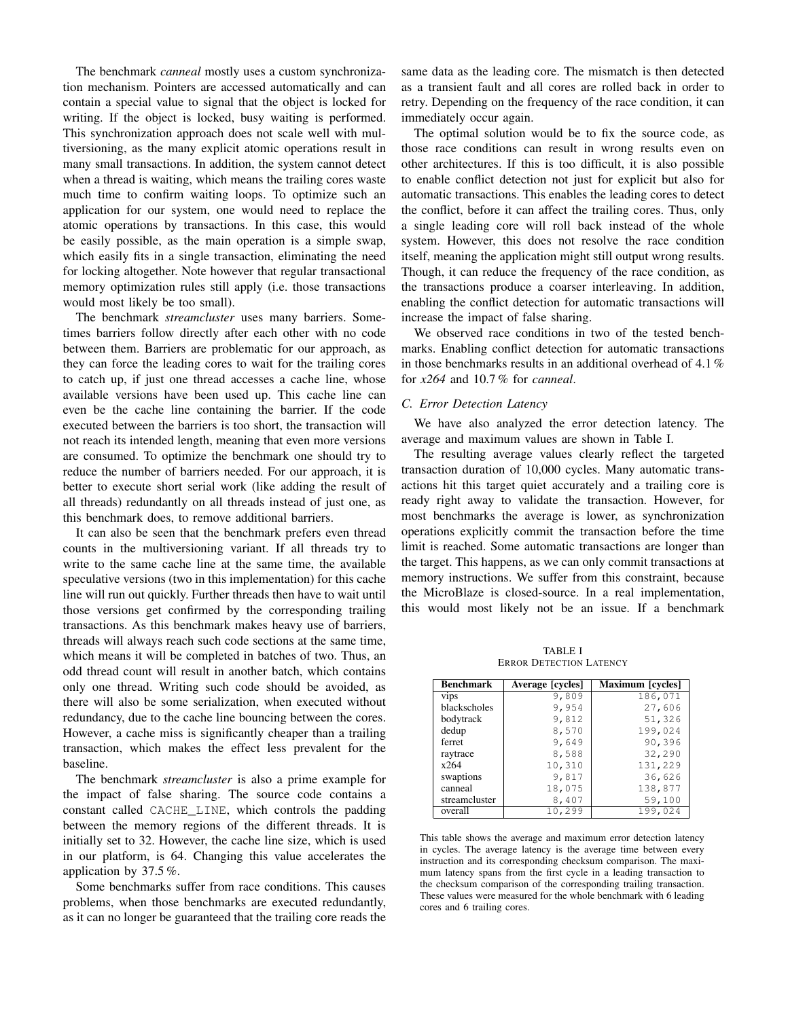The benchmark *canneal* mostly uses a custom synchronization mechanism. Pointers are accessed automatically and can contain a special value to signal that the object is locked for writing. If the object is locked, busy waiting is performed. This synchronization approach does not scale well with multiversioning, as the many explicit atomic operations result in many small transactions. In addition, the system cannot detect when a thread is waiting, which means the trailing cores waste much time to confirm waiting loops. To optimize such an application for our system, one would need to replace the atomic operations by transactions. In this case, this would be easily possible, as the main operation is a simple swap, which easily fits in a single transaction, eliminating the need for locking altogether. Note however that regular transactional memory optimization rules still apply (i.e. those transactions would most likely be too small).

The benchmark *streamcluster* uses many barriers. Sometimes barriers follow directly after each other with no code between them. Barriers are problematic for our approach, as they can force the leading cores to wait for the trailing cores to catch up, if just one thread accesses a cache line, whose available versions have been used up. This cache line can even be the cache line containing the barrier. If the code executed between the barriers is too short, the transaction will not reach its intended length, meaning that even more versions are consumed. To optimize the benchmark one should try to reduce the number of barriers needed. For our approach, it is better to execute short serial work (like adding the result of all threads) redundantly on all threads instead of just one, as this benchmark does, to remove additional barriers.

It can also be seen that the benchmark prefers even thread counts in the multiversioning variant. If all threads try to write to the same cache line at the same time, the available speculative versions (two in this implementation) for this cache line will run out quickly. Further threads then have to wait until those versions get confirmed by the corresponding trailing transactions. As this benchmark makes heavy use of barriers, threads will always reach such code sections at the same time, which means it will be completed in batches of two. Thus, an odd thread count will result in another batch, which contains only one thread. Writing such code should be avoided, as there will also be some serialization, when executed without redundancy, due to the cache line bouncing between the cores. However, a cache miss is significantly cheaper than a trailing transaction, which makes the effect less prevalent for the baseline.

The benchmark *streamcluster* is also a prime example for the impact of false sharing. The source code contains a constant called CACHE\_LINE, which controls the padding between the memory regions of the different threads. It is initially set to 32. However, the cache line size, which is used in our platform, is 64. Changing this value accelerates the application by 37.5 %.

Some benchmarks suffer from race conditions. This causes problems, when those benchmarks are executed redundantly, as it can no longer be guaranteed that the trailing core reads the same data as the leading core. The mismatch is then detected as a transient fault and all cores are rolled back in order to retry. Depending on the frequency of the race condition, it can immediately occur again.

The optimal solution would be to fix the source code, as those race conditions can result in wrong results even on other architectures. If this is too difficult, it is also possible to enable conflict detection not just for explicit but also for automatic transactions. This enables the leading cores to detect the conflict, before it can affect the trailing cores. Thus, only a single leading core will roll back instead of the whole system. However, this does not resolve the race condition itself, meaning the application might still output wrong results. Though, it can reduce the frequency of the race condition, as the transactions produce a coarser interleaving. In addition, enabling the conflict detection for automatic transactions will increase the impact of false sharing.

We observed race conditions in two of the tested benchmarks. Enabling conflict detection for automatic transactions in those benchmarks results in an additional overhead of 4.1 % for *x264* and 10.7 % for *canneal*.

# *C. Error Detection Latency*

We have also analyzed the error detection latency. The average and maximum values are shown in Table [I.](#page-6-0)

The resulting average values clearly reflect the targeted transaction duration of 10,000 cycles. Many automatic transactions hit this target quiet accurately and a trailing core is ready right away to validate the transaction. However, for most benchmarks the average is lower, as synchronization operations explicitly commit the transaction before the time limit is reached. Some automatic transactions are longer than the target. This happens, as we can only commit transactions at memory instructions. We suffer from this constraint, because the MicroBlaze is closed-source. In a real implementation, this would most likely not be an issue. If a benchmark

TABLE I ERROR DETECTION LATENCY

<span id="page-6-0"></span>

| Benchmark     | Average [cycles] | Maximum [cycles] |
|---------------|------------------|------------------|
| vips          | 9,809            | 186,071          |
| blackscholes  | 9,954            | 27,606           |
| bodytrack     | 9,812            | 51,326           |
| dedup         | 8,570            | 199,024          |
| ferret        | 9,649            | 90,396           |
| raytrace      | 8,588            | 32,290           |
| x264          | 10,310           | 131,229          |
| swaptions     | 9,817            | 36,626           |
| canneal       | 18,075           | 138,877          |
| streamcluster | 8,407            | 59,100           |
| overall       | 10,299           | 199,024          |

This table shows the average and maximum error detection latency in cycles. The average latency is the average time between every instruction and its corresponding checksum comparison. The maximum latency spans from the first cycle in a leading transaction to the checksum comparison of the corresponding trailing transaction. These values were measured for the whole benchmark with 6 leading cores and 6 trailing cores.